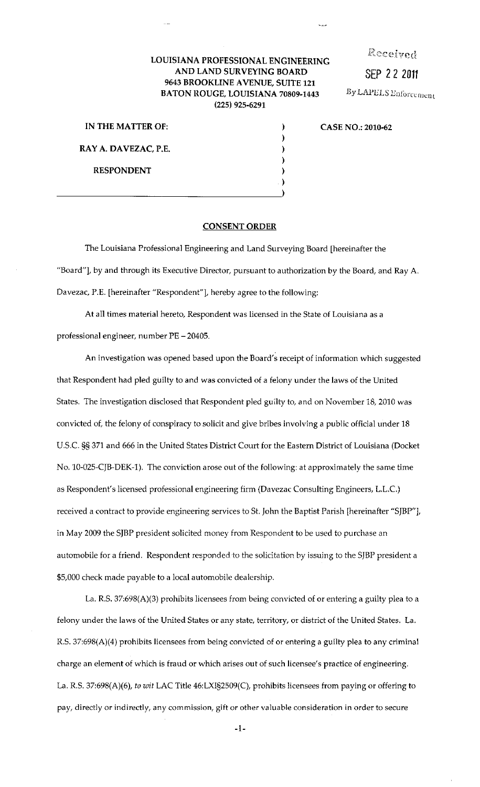## Received

SEP *2* 2 2011

By LAPELS Enforcement

## LOUISIANA PROFESSIONAL ENGINEERING AND LAND SURVEYING BOARD 9643 BROOKLINE AVENUE, SUITE 121 BATON ROUGE, LOUISIANA 70809-1443 (225) 925-6291

| IN THE MATTER OF:    |  |
|----------------------|--|
|                      |  |
| RAY A. DAVEZAC, P.E. |  |
|                      |  |
| <b>RESPONDENT</b>    |  |
|                      |  |
|                      |  |

## I CASE NO.: 2010-62

## CONSENT ORDER

The Louisiana Professional Engineering and Land Surveying Board [hereinafter the "Board"], by and through its Executive Director, pursuant to authorization by the Board, and Ray A. Davezac, P.E. [hereinafter "Respondent"], hereby agree to the following:

At all times material hereto, Respondent was licensed in the State of Louisiana as a professional engineer, number PE- 20405.

An investigation was opened based upon the Board's receipt of information which suggested that Respondent had pled guilty to and was convicted of a felony under the laws of the United States. The investigation disclosed that Respondent pled guilty to, and on November 18, 2010 was convicted of, the felony of conspiracy to solicit and give bribes involving a public official under 18 U.S. C. §§ 371 and 666 in the United States District Court for the Eastern District of Louisiana (Docket No. 10-025-CJB-DEK-1). The conviction arose out of the following: at approximately the same time as Respondent's licensed professional engineering firm (Davezac Consulting Engineers, L.L.C.) received a contract to provide engineering services to St. John the Baptist Parish [hereinafter "SJBP"], in May 2009 the SJBP president solicited money from Respondent to be used to purchase an automobile for a friend. Respondent responded to the solicitation by issuing to the SJBP president a \$5,000 check made payable to a local automobile dealership.

La. R.S. 37:698(A)(3) prohibits licensees from being convicted of or entering a guilty plea to a felony under the laws of the United States or any state, territory, or district of the United States. La. R.S. 37:698(A)(4) prohibits licensees from being convicted of or entering a guilty plea to any criminal charge an element of which is fraud or which arises out of such licensee's practice of engineering. La. R.S. 37:698(A)(6), *to wit* LAC Title 46:LXI§2509(C), prohibits licensees from paying or offering to pay, directly or indirectly, any commission, gift or other valuable consideration in order to secure

-1-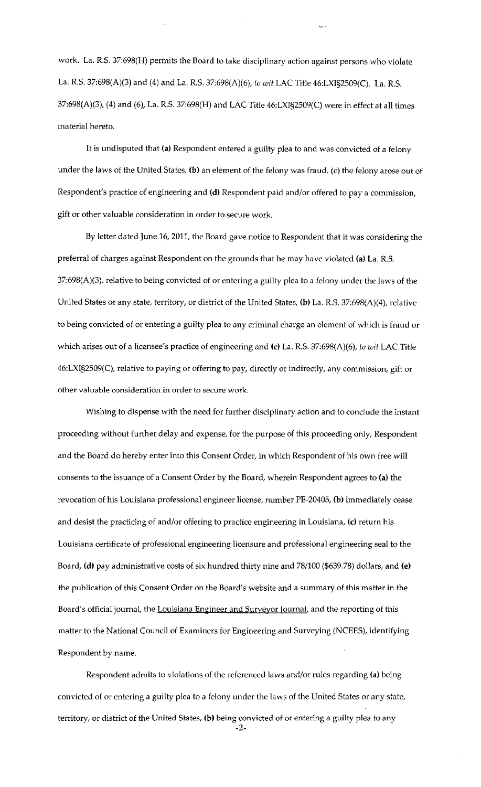work. La. R.S. 37:698(H) permits the Board to take disciplinary action against persons who violate La. R.S. 37:698(A)(3) and (4) and La. R.S. 37:698(A)(6), to *wit* LAC Title 46:LXI§2509(C). La. R.S. 37:698(A)(3), (4) and (6), La. R.S. 37:698(H) and LAC Title 46:LXI§2509(C) were in effect at all times material hereto.

~,,\_.

It is undisputed that **(a)** Respondent entered a guilty plea to and was convicted of a felony under the laws of the United States, **(b)** an element of the felony was fraud, (c) the felony arose out of Respondent's practice of engineering and **(d)** Respondent paid and/or offered to pay a commission, gift or other valuable consideration in order to secure work.

By letter dated June 16, 2011, the Board gave notice to Respondent that it was considering the preferral of charges against Respondent on the grounds that he may have violated **(a)** La. R.S. 37:698(A)(3), relative to being convicted of or entering a guilty plea to a felony under the laws of the United States or any state, territory, or district of the United States, **(b)** La. R.S. 37:698(A)(4), relative to being convicted of or entering a guilty plea to any criminal charge an element of which is fraud or which arises out of a licensee's practice of engineering and (c) La. R.S. 37:698(A)(6), *to wit* LAC Title 46:LXI§2509(C), relative to paying or offering to pay, directly or indirectly, any commission, gift or **other valuable consideration in order to secure work.** 

Wishing to dispense with the need for further disciplinary action and to conclude the instant proceeding without further delay and expense, for the purpose of this proceeding only, Respondent and the Board do hereby enter into this Consent Order, in which Respondent of his own free will consents to the issuance of a Consent Order by the Board, wherein Respondent agrees to **(a)** the revocation of his Louisiana professional engineer license, number PE-20405, **(b)** immediately cease and desist the practicing of and/or offering to practice engineering in Louisiana, (c) return his Louisiana certificete of professional engineering licensure and professional engineering seal to the Board, **(d)** pay administrative costs of six hundred thirty nine and 78/100 (\$639.78) dollars, and (e) the publication of this Consent Order on the Board's website and a summary of this matter in the Board's official journal, the Louisiana Engineer and Surveyor lournal, and the reporting of this matter to the National Council of Examiners for Engineering and Surveying (NCEES), identifying Respondent by name.

Respondent admits to violations of the referenced laws and/or rules regarding **(a)** being convicted of or entering a guilty plea to a felony under the laws of the United States or any state, territory, or district of the United States, **(b)** being convicted of or entering a guilty plea to any

-2-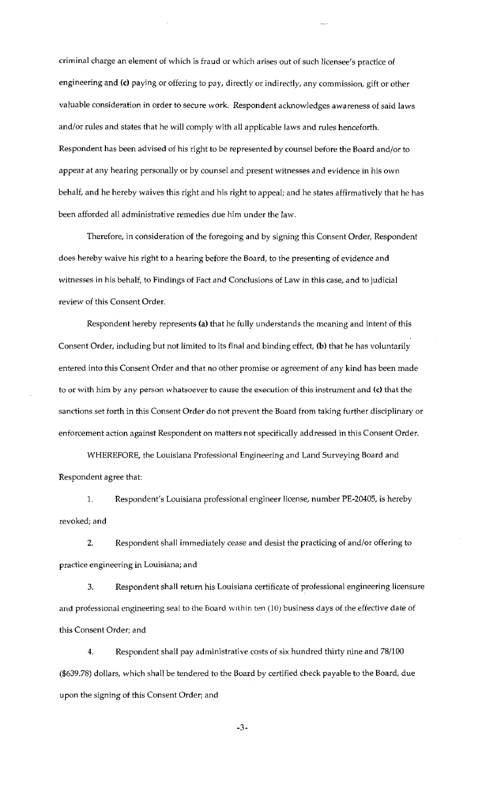criminal charge an element of which is fraud or which arises out of such licensee's practice of engineering and (c) paying or offering to pay, directly or indirectly, any commission, gift or other valuable consideration in order to secure work. Respondent acknowledges awareness of said laws and/or rules and states that he will comply with all applicable laws and rules henceforth. Respondent has been advised of his right to be represented by counsel before the Board and/or to appear at any hearing personally or by counsel and present witnesses and evidence in his own behalf, and he hereby waives this right and his right to appeal; and he states affirmatively that he has been afforded all administrative remedies due him under the law.

Therefore, in consideration of the foregoing and by signing this Consent Order, Respondent does hereby waive his right to a hearing before the Board, to the presenting of evidence and witnesses in his behalf, to Findings of Fact and Conclusions of Law in this case, and to judicial review of this Consent Order.

Respondent hereby represents (a) that he fully understands the meaning and intent of this Consent Order, including but not limited to its final and binding effect, (b) that he has voluntarily entered into this Consent Order and that no other promise or agreement of any kind has been made to or with him by any person whatsoever to cause the execution of this instrument and (c) that the sanctions set forth in this Consent Order do not prevent the Board from taking further disciplinary or enforcement action against Respondent on matters not specifically addressed in this Consent Order.

WHEREFORE, the Louisiana Professional Engineering and Land Surveying Board and Respondent agree that:

1. Respondent's Louisiana professional engineer license, number PE-20405, is hereby revoked; and

2. Respondent shall immediately cease and desist the practicing of and/or offering to practice engineering in Louisiana; and

3. Respondent shall return his Louisiana certificate of professional engineering licensure and professional engineering seal to the Board within ten (10) business days of the effective date of this Consent Order; and

4. Respondent shall pay administrative costs of six hundred thirty nine and 78/100 (\$639.78) dollars, which shall be tendered to the Board by certified check payable to the Board, due upon the signing of this Consent Order; and

-3-